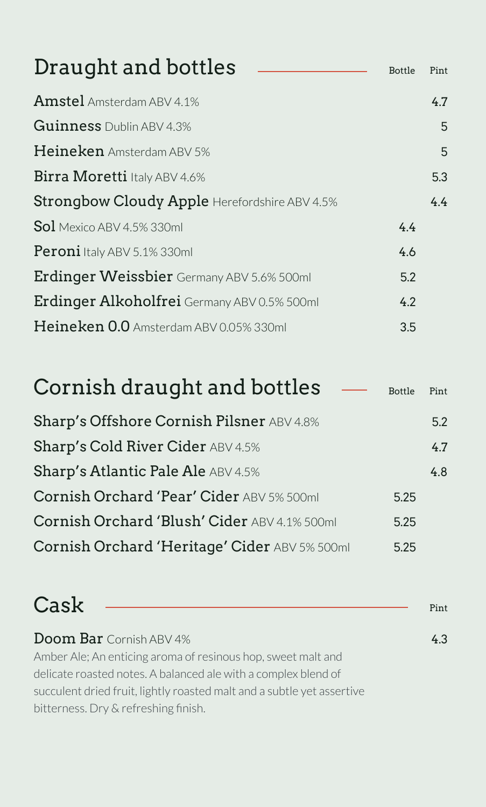| Draught and bottles                           | <b>Bottle</b> | Pint |
|-----------------------------------------------|---------------|------|
| Amstel Amsterdam ABV 4.1%                     |               | 4.7  |
| <b>Guinness</b> Dublin ABV 4.3%               |               | 5    |
| Heineken Amsterdam ABV 5%                     |               | 5    |
| Birra Moretti Italy ABV 4.6%                  |               | 5.3  |
| Strongbow Cloudy Apple Herefordshire ABV 4.5% |               | 4.4  |
| <b>Sol</b> Mexico ABV 4.5% 330ml              | 4.4           |      |
| <b>Peroni</b> Italy ABV 5.1% 330ml            | 4.6           |      |
| Erdinger Weissbier Germany ABV 5.6% 500ml     | 5.2           |      |
| Erdinger Alkoholfrei Germany ABV 0.5% 500ml   | 4.2           |      |
| Heineken 0.0 Amsterdam ABV 0.05% 330ml        | 3.5           |      |
|                                               |               |      |

| Cornish draught and bottles                   | Bottle | Pint |
|-----------------------------------------------|--------|------|
| Sharp's Offshore Cornish Pilsner ABV 4.8%     |        | 5.2  |
| <b>Sharp's Cold River Cider ABV 4.5%</b>      |        | 4.7  |
| <b>Sharp's Atlantic Pale Ale ABV 4.5%</b>     |        | 4.8  |
| Cornish Orchard 'Pear' Cider ABV 5% 500ml     | 5.25   |      |
| Cornish Orchard 'Blush' Cider ABV 4.1% 500ml  | 5.25   |      |
| Cornish Orchard 'Heritage' Cider ABV 5% 500ml | 5.25   |      |

| Cask                                                                   | Pint |
|------------------------------------------------------------------------|------|
| <b>Doom Bar</b> Cornish ABV 4%                                         | 43   |
| Amber Ale; An enticing aroma of resinous hop, sweet malt and           |      |
| delicate roasted notes. A balanced ale with a complex blend of         |      |
| succulent dried fruit, lightly roasted malt and a subtle yet assertive |      |
| bitterness. Dry & refreshing finish.                                   |      |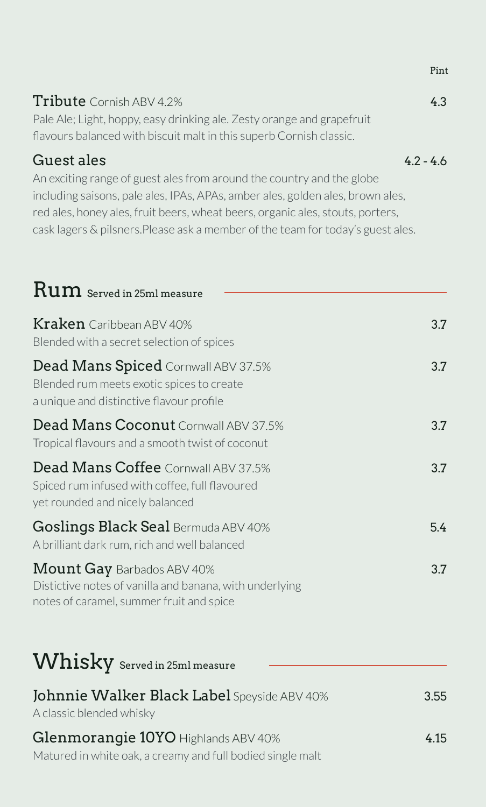| <b>Tribute</b> Cornish ABV 4.2%                                        | 43        |
|------------------------------------------------------------------------|-----------|
| Pale Ale; Light, hoppy, easy drinking ale. Zesty orange and grapefruit |           |
| flavours balanced with biscuit malt in this superb Cornish classic.    |           |
| Guest ales                                                             | $42 - 46$ |

An exciting range of guest ales from around the country and the globe including saisons, pale ales, IPAs, APAs, amber ales, golden ales, brown ales, red ales, honey ales, fruit beers, wheat beers, organic ales, stouts, porters, cask lagers & pilsners.Please ask a member of the team for today's guest ales.

| $\operatorname{Run}$ Served in 25ml measure                                                                                              |      |
|------------------------------------------------------------------------------------------------------------------------------------------|------|
| $K$ ra $\ker$ Caribbean ABV 40%<br>Blended with a secret selection of spices                                                             | 3.7  |
| Dead Mans Spiced Cornwall ABV 37.5%<br>Blended rum meets exotic spices to create<br>a unique and distinctive flavour profile             | 3.7  |
| Dead Mans Coconut Cornwall ABV 37.5%<br>Tropical flavours and a smooth twist of coconut                                                  | 3.7  |
| Dead Mans Coffee Cornwall ABV 37.5%<br>Spiced rum infused with coffee, full flavoured<br>yet rounded and nicely balanced                 | 3.7  |
| Goslings Black Seal Bermuda ABV 40%<br>A brilliant dark rum, rich and well balanced                                                      | 5.4  |
| <b>Mount Gay Barbados ABV 40%</b><br>Distictive notes of vanilla and banana, with underlying<br>notes of caramel, summer fruit and spice | 3.7  |
| Whisky Served in 25ml measure                                                                                                            |      |
| Johnnie Walker Black Label Speyside ABV 40%<br>A classic blended whisky                                                                  | 3.55 |
| Glenmorangie 10YO Highlands ABV 40%<br>Matured in white oak, a creamy and full bodied single malt                                        | 4.15 |

Pint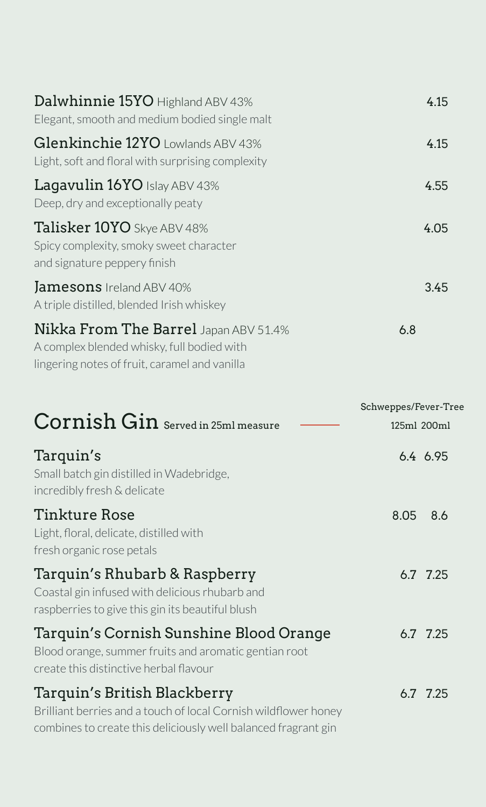| Dalwhinnie 15YO Highland ABV 43%<br>Elegant, smooth and medium bodied single malt                                                           | 4.15 |
|---------------------------------------------------------------------------------------------------------------------------------------------|------|
| Glenkinchie 12YO Lowlands ABV 43%<br>Light, soft and floral with surprising complexity                                                      | 4.15 |
| <b>Lagavulin 16YO</b> Islay ABV 43%<br>Deep, dry and exceptionally peaty                                                                    | 4.55 |
| Talisker 10YO Skye ABV 48%<br>Spicy complexity, smoky sweet character<br>and signature peppery finish                                       | 4.05 |
| <b>Jamesons</b> Ireland ABV 40%<br>A triple distilled, blended Irish whiskey                                                                | 3.45 |
| <b>Nikka From The Barrel</b> Japan ABV 51.4%<br>A complex blended whisky, full bodied with<br>lingering notes of fruit, caramel and vanilla | 6.8  |

|                                                                                                                                                                   | Schweppes/Fever-Tree |             |
|-------------------------------------------------------------------------------------------------------------------------------------------------------------------|----------------------|-------------|
| $Cornish Gin$ Served in 25ml measure                                                                                                                              |                      | 125ml 200ml |
| Tarquin's<br>Small batch gin distilled in Wadebridge,<br>incredibly fresh & delicate                                                                              |                      | 6.4 6.95    |
| Tinkture Rose<br>Light, floral, delicate, distilled with<br>fresh organic rose petals                                                                             | 8.05                 | 8.6         |
| Tarquin's Rhubarb & Raspberry<br>Coastal gin infused with delicious rhubarb and<br>raspberries to give this gin its beautiful blush                               |                      | 6.7 7.25    |
| Tarquin's Cornish Sunshine Blood Orange<br>Blood orange, summer fruits and aromatic gentian root<br>create this distinctive herbal flavour                        |                      | 6.7 7.25    |
| Tarquin's British Blackberry<br>Brilliant berries and a touch of local Cornish wildflower honey<br>combines to create this deliciously well balanced fragrant gin |                      | 6.7 7.25    |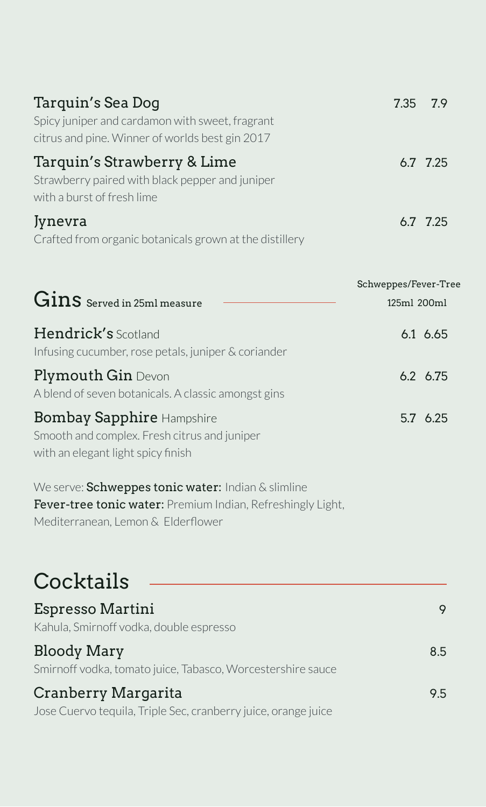| Tarquin's Sea Dog<br>Spicy juniper and cardamon with sweet, fragrant<br>citrus and pine. Winner of worlds best gin 2017                                 | 7.35                                | 7.9             |
|---------------------------------------------------------------------------------------------------------------------------------------------------------|-------------------------------------|-----------------|
| Tarquin's Strawberry & Lime<br>Strawberry paired with black pepper and juniper<br>with a burst of fresh lime                                            |                                     | 6.7 7.25        |
| Jynevra<br>Crafted from organic botanicals grown at the distillery                                                                                      |                                     | 6.7 7.25        |
| $Gins$ Served in 25ml measure                                                                                                                           | Schweppes/Fever-Tree<br>125ml 200ml |                 |
| <b>Hendrick's</b> Scotland<br>Infusing cucumber, rose petals, juniper & coriander                                                                       |                                     | 6.1 6.65        |
| <b>Plymouth Gin Devon</b><br>A blend of seven botanicals. A classic amongst gins                                                                        |                                     | $6.2\quad 6.75$ |
| <b>Bombay Sapphire Hampshire</b><br>Smooth and complex. Fresh citrus and juniper<br>with an elegant light spicy finish                                  |                                     | 5.7 6.25        |
| We serve: Schweppes tonic water: Indian & slimline<br>Fever-tree tonic water: Premium Indian, Refreshingly Light,<br>Mediterranean, Lemon & Elderflower |                                     |                 |
| Cocktails                                                                                                                                               |                                     |                 |
| Espresso Martini<br>Kahula, Smirnoff vodka, double espresso                                                                                             |                                     | 9               |

Bloody Mary 8.5

Smirnoff vodka, tomato juice, Tabasco, Worcestershire sauce

## Cranberry Margarita 9.5 Jose Cuervo tequila, Triple Sec, cranberry juice, orange juice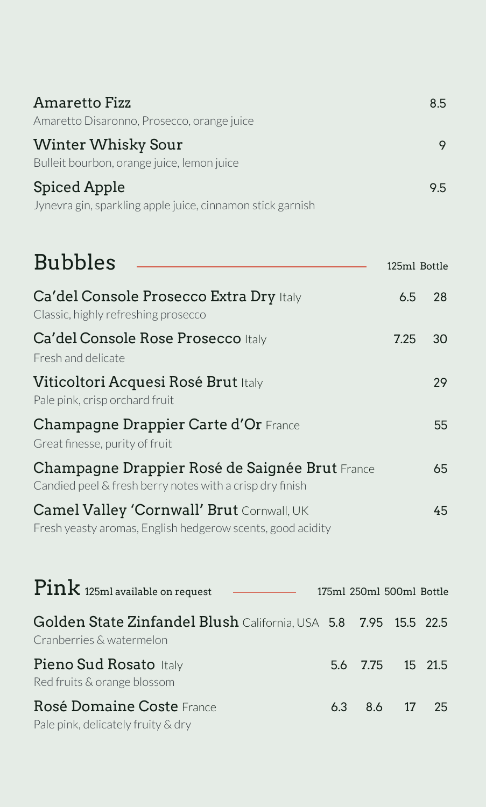| Amaretto Fizz                                                           | 8.5 |
|-------------------------------------------------------------------------|-----|
| Amaretto Disaronno, Prosecco, orange juice                              |     |
| <b>Winter Whisky Sour</b><br>Bulleit bourbon, orange juice, lemon juice |     |
| Spiced Apple                                                            | 9.5 |
| Jynevra gin, sparkling apple juice, cinnamon stick garnish              |     |

| <b>Bubbles</b>                                                                                                 | 125ml Bottle |    |
|----------------------------------------------------------------------------------------------------------------|--------------|----|
| Ca'del Console Prosecco Extra Dry Italy<br>Classic, highly refreshing prosecco                                 | 6.5          | 28 |
| Ca'del Console Rose Prosecco Italy<br>Fresh and delicate                                                       | 7.25         | 30 |
| Viticoltori Acquesi Rosé Brut Italy<br>Pale pink, crisp or chard fruit                                         |              | 29 |
| <b>Champagne Drappier Carte d'Or France</b><br>Great finesse, purity of fruit                                  |              | 55 |
| Champagne Drappier Rosé de Saignée Brut France<br>Candied peel & fresh berry notes with a crisp dry finish     |              | 65 |
| <b>Camel Valley 'Cornwall' Brut</b> Cornwall, UK<br>Fresh yeasty aromas, English hedgerow scents, good acidity |              | 45 |

| $\mathrm{Pink}$ 125ml available on request<br><u> 1989 - Andrea Station Books, amerikansk politiker (</u> | 175ml 250ml 500ml Bottle |  |
|-----------------------------------------------------------------------------------------------------------|--------------------------|--|
| Golden State Zinfandel Blush California, USA 5.8 7.95 15.5 22.5<br>Cranberries & watermelon               |                          |  |
| Pieno Sud Rosato Italy<br>Red fruits & orange blossom                                                     | 5.6 7.75 15 21.5         |  |
| Rosé Domaine Coste France<br>Pale pink, delicately fruity & dry                                           | 6.3 8.6 17 25            |  |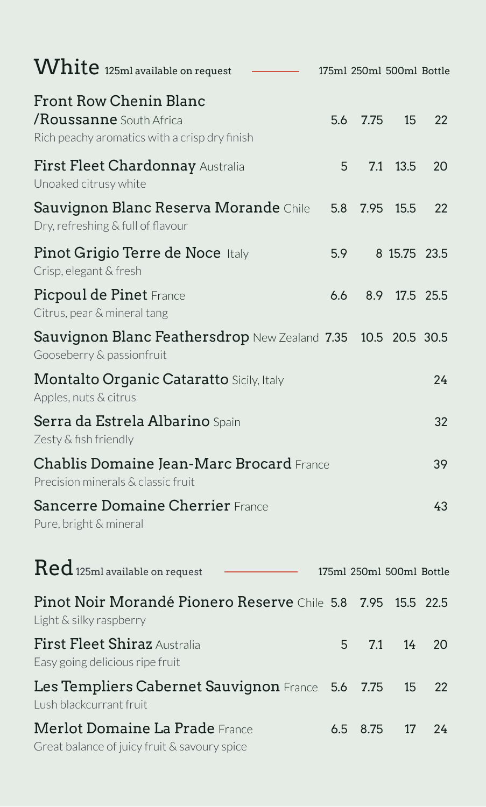| White 125ml available on request                                                                          |     | 175ml 250ml 500ml Bottle |                 |           |
|-----------------------------------------------------------------------------------------------------------|-----|--------------------------|-----------------|-----------|
| <b>Front Row Chenin Blanc</b><br>/Roussanne South Africa<br>Rich peachy aromatics with a crisp dry finish | 5.6 | 7.75                     | 15              | 22        |
| First Fleet Chardonnay Australia<br>Unoaked citrusy white                                                 | 5   | 7.1                      | 13.5            | 20        |
| Sauvignon Blanc Reserva Morande Chile<br>Dry, refreshing & full of flavour                                | 5.8 | 7.95                     | 15.5            | 22        |
| Pinot Grigio Terre de Noce Italy<br>Crisp, elegant & fresh                                                | 5.9 |                          | 8 15.75 23.5    |           |
| Picpoul de Pinet France<br>Citrus, pear & mineral tang                                                    | 6.6 | 8.9                      |                 | 17.5 25.5 |
| Sauvignon Blanc Feathersdrop New Zealand 7.35<br>Gooseberry & passionfruit                                |     |                          | 10.5 20.5 30.5  |           |
| <b>Montalto Organic Cataratto Sicily, Italy</b><br>Apples, nuts & citrus                                  |     |                          |                 | 24        |
| Serra da Estrela Albarino Spain<br>Zesty & fish friendly                                                  |     |                          |                 | 32        |
| Chablis Domaine Jean-Marc Brocard France<br>Precision minerals & classic fruit                            |     |                          |                 | 39        |
| <b>Sancerre Domaine Cherrier France</b><br>Pure, bright & mineral                                         |     |                          |                 | 43        |
| $\text{Red}$ 125ml available on request                                                                   |     | 175ml 250ml 500ml Bottle |                 |           |
| Pinot Noir Morandé Pionero Reserve Chile 5.8<br>Light & silky raspberry                                   |     | 7.95                     | 15.5            | 22.5      |
| First Fleet Shiraz Australia<br>Easy going delicious ripe fruit                                           | 5   | 7.1                      | 14 <sub>1</sub> | 20        |
| Les Templiers Cabernet Sauvignon France<br>Lush blackcurrant fruit                                        | 5.6 | 7.75                     | 15              | 22        |
| <b>Merlot Domaine La Prade France</b><br>Great balance of juicy fruit & savoury spice                     | 6.5 | 8.75                     | 17              | 24        |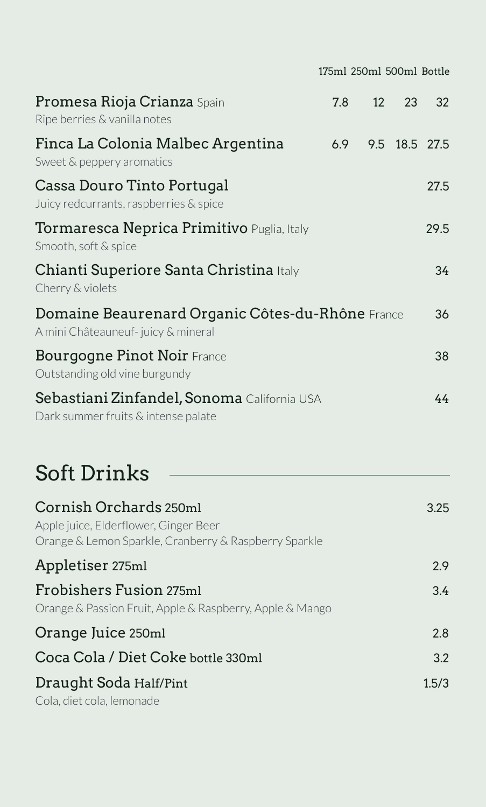|                                                                                                                          | 175ml 250ml 500ml Bottle |    |               |       |
|--------------------------------------------------------------------------------------------------------------------------|--------------------------|----|---------------|-------|
| Promesa Rioja Crianza Spain<br>Ripe berries & vanilla notes                                                              | 7.8                      | 12 | 23            | 32    |
| Finca La Colonia Malbec Argentina<br>Sweet & peppery aromatics                                                           | 6.9                      |    | 9.5 18.5 27.5 |       |
| Cassa Douro Tinto Portugal<br>Juicy redcurrants, raspberries & spice                                                     |                          |    |               | 27.5  |
| Tormaresca Neprica Primitivo Puglia, Italy<br>Smooth, soft & spice                                                       |                          |    |               | 29.5  |
| Chianti Superiore Santa Christina Italy<br>Cherry & violets                                                              |                          |    |               | 34    |
| Domaine Beaurenard Organic Côtes-du-Rhône France<br>A mini Châteauneuf- juicy & mineral                                  |                          |    |               | 36    |
| <b>Bourgogne Pinot Noir France</b><br>Outstanding old vine burgundy                                                      |                          |    |               | 38    |
| Sebastiani Zinfandel, Sonoma California USA<br>Dark summer fruits & intense palate                                       |                          |    |               | 44    |
| <b>Soft Drinks</b>                                                                                                       |                          |    |               |       |
| Cornish Orchards 250ml<br>Apple juice, Elderflower, Ginger Beer<br>Orange & Lemon Sparkle, Cranberry & Raspberry Sparkle |                          |    |               | 3.25  |
| Appletiser 275ml                                                                                                         |                          |    |               | 2.9   |
| Frobishers Fusion 275ml<br>Orange & Passion Fruit, Apple & Raspberry, Apple & Mango                                      |                          |    |               | 3.4   |
| Orange Juice 250ml                                                                                                       |                          |    |               | 2.8   |
| Coca Cola / Diet Coke bottle 330ml                                                                                       |                          |    |               | 3.2   |
| Draught Soda Half/Pint<br>Cola, diet cola, lemonade                                                                      |                          |    |               | 1.5/3 |